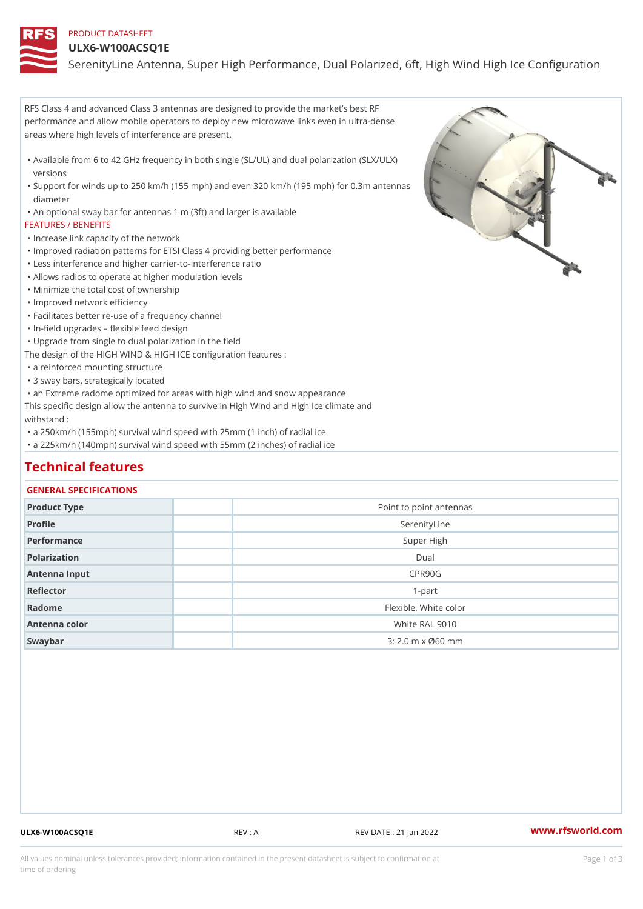### PRODUCT DATASHEET

#### ULX6-W100ACSQ1E

SerenityLine Antenna, Super High Performance, Dual Polarized, 6ft, Hi

RFS Class 4 and advanced Class 3 antennas are designed to provide the market s best RF performance and allow mobile operators to deploy new microwave links even in ultra-dense areas where high levels of interference are present.

Available from 6 to 42 GHz frequency in both single (SL/UL) and dual polarization (SLX/ULX) " versions

Support for winds up to 250 km/h (155 mph) and even 320 km/h (195 mph) for 0.3m antennas " diameter

"An optional sway bar for antennas 1 m (3ft) and larger is available

#### FEATURES / BENEFITS

"Increase link capacity of the network

- "Improved radiation patterns for ETSI Class 4 providing better performance
- "Less interference and higher carrier-to-interference ratio
- "Allows radios to operate at higher modulation levels
- "Minimize the total cost of ownership
- "Improved network efficiency
- "Facilitates better re-use of a frequency channel
- "In-field upgrades flexible feed design

"Upgrade from single to dual polarization in the field

The design of the HIGH WIND & HIGH ICE configuration features :

"a reinforced mounting structure

"3 sway bars, strategically located

"an Extreme radome optimized for areas with high wind and snow appearance

This specific design allow the antenna to survive in High Wind and High Ice climate and withstand :

"a 250km/h (155mph) survival wind speed with 25mm (1 inch) of radial ice

"a 225km/h (140mph) survival wind speed with 55mm (2 inches) of radial ice

## Technical features

#### GENERAL SPECIFICATIONS

| Product Type  | Point to point antennas      |
|---------------|------------------------------|
| Profile       | SerenityLine                 |
| Performance   | Super High                   |
| Polarization  | Dual                         |
| Antenna Input | CPR90G                       |
| Reflector     | $1-part$                     |
| Radome        | Flexible, White color        |
| Antenna color | White RAL 9010               |
| Swaybar       | $3:2.0 \,$ m $\times$ Ø60 mm |

ULX6-W100ACSQ1E REV : A REV DATE : 21 Jan 2022 [www.](https://www.rfsworld.com)rfsworld.com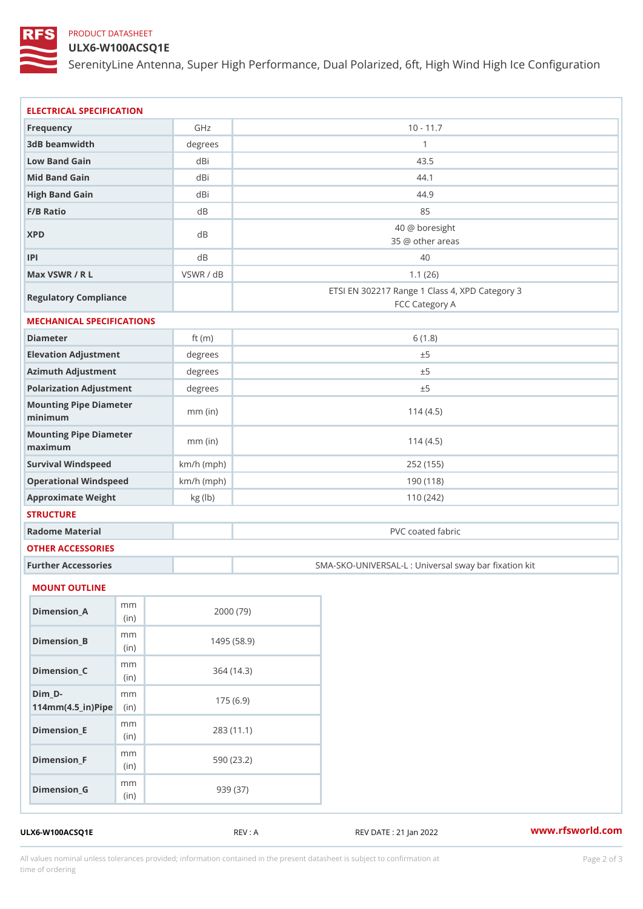# PRODUCT DATASHEET

# ULX6-W100ACSQ1E

SerenityLine Antenna, Super High Performance, Dual Polarized, 6ft, Hi

| ELECTRICAL SPECIFICATION                 |              |                                                                  |  |  |  |  |
|------------------------------------------|--------------|------------------------------------------------------------------|--|--|--|--|
| Frequency                                | GHz          | $10 - 11.7$                                                      |  |  |  |  |
| 3dB beamwidth                            | degrees      | $\mathbf{1}$                                                     |  |  |  |  |
| Low Band Gain                            | dBi          | 43.5                                                             |  |  |  |  |
| Mid Band Gain                            | dBi          | 44.1                                                             |  |  |  |  |
| High Band Gain                           | dBi          | 44.9                                                             |  |  |  |  |
| F/B Ratio                                | d B          | 85                                                               |  |  |  |  |
| <b>XPD</b>                               | d B          | 40 @ boresight<br>35 @ other areas                               |  |  |  |  |
| P                                        | d B          | 40                                                               |  |  |  |  |
| Max VSWR / R L                           | VSWR / dB    | 1.1(26)                                                          |  |  |  |  |
| Regulatory Compliance                    |              | ETSI EN 302217 Range 1 Class 4, XPD Category 3<br>FCC Category A |  |  |  |  |
| MECHANICAL SPECIFICATIONS                |              |                                                                  |  |  |  |  |
| Diameter                                 | ft $(m)$     | 6(1.8)                                                           |  |  |  |  |
| Elevation Adjustment                     | degrees      | ± 5                                                              |  |  |  |  |
| Azimuth Adjustment                       | degrees      | ± 5                                                              |  |  |  |  |
| Polarization Adjustment                  | degrees      | ± 5                                                              |  |  |  |  |
| Mounting Pipe Diameter<br>minimum        | $mm$ (in)    | 114(4.5)                                                         |  |  |  |  |
| Mounting Pipe Diameter<br>maximum        | $mm$ (in)    | 114(4.5)                                                         |  |  |  |  |
| Survival Windspeed                       | $km/h$ (mph) | 252 (155)                                                        |  |  |  |  |
| Operational Windspeed                    | $km/h$ (mph) | 190(118)                                                         |  |  |  |  |
| Approximate Weight                       | kg (lb)      | 110(242)                                                         |  |  |  |  |
| <b>STRUCTURE</b>                         |              |                                                                  |  |  |  |  |
| Radome Material                          |              | PVC coated fabric                                                |  |  |  |  |
| OTHER ACCESSORIES                        |              |                                                                  |  |  |  |  |
| Further Accessories                      |              | SMA-SKO-UNIVERSAL-L : Universal sway bar fixation                |  |  |  |  |
|                                          |              |                                                                  |  |  |  |  |
| MOUNT OUTLINE                            |              |                                                                  |  |  |  |  |
| m m<br>$Dimension_A$<br>(in)             |              | 2000 (79)                                                        |  |  |  |  |
| m m<br>$Dimen sion_B$<br>(in             |              | 1495(58.9)                                                       |  |  |  |  |
| m m<br>$Dimension_C$<br>(in              |              | 364(14.3)                                                        |  |  |  |  |
| $Dim_D - D -$<br>m m                     |              | 175(6.9)                                                         |  |  |  |  |
| $114$ m m (4.5 _ ir ) $\mathbb{R}$ imple |              |                                                                  |  |  |  |  |
| m m<br>$Dimension$ = E<br>(in)           |              | 283 (11.1)                                                       |  |  |  |  |
| m m<br>$Dimension_F$<br>(in              |              | 590 (23.2)                                                       |  |  |  |  |
| m m<br>$Dimen sion_G$<br>(in)            |              | 939 (37)                                                         |  |  |  |  |

ULX6-W100ACSQ1E REV : A REV REV DATE : 21 Jan 2022 WWW.rfsworld.com